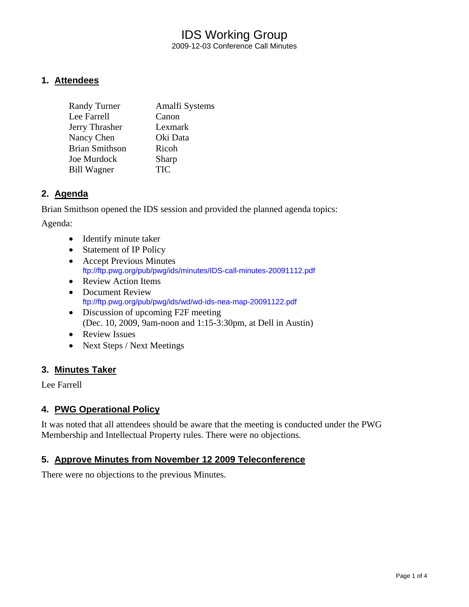### IDS Working Group 2009-12-03 Conference Call Minutes

### **1. Attendees**

| <b>Randy Turner</b>   | Amalfi Systems |
|-----------------------|----------------|
| Lee Farrell           | Canon          |
| Jerry Thrasher        | Lexmark        |
| Nancy Chen            | Oki Data       |
| <b>Brian Smithson</b> | Ricoh          |
| Joe Murdock           | Sharp          |
| <b>Bill Wagner</b>    | <b>TIC</b>     |

### **2. Agenda**

Brian Smithson opened the IDS session and provided the planned agenda topics:

Agenda:

- Identify minute taker
- Statement of IP Policy
- Accept Previous Minutes <ftp://ftp.pwg.org/pub/pwg/ids/minutes/IDS-call-minutes-20091112.pdf>
- Review Action Items
- Document Review <ftp://ftp.pwg.org/pub/pwg/ids/wd/wd-ids-nea-map-20091122.pdf>
- Discussion of upcoming F2F meeting (Dec. 10, 2009, 9am-noon and 1:15-3:30pm, at Dell in Austin)
- Review Issues
- Next Steps / Next Meetings

### **3. Minutes Taker**

Lee Farrell

### **4. PWG Operational Policy**

It was noted that all attendees should be aware that the meeting is conducted under the PWG Membership and Intellectual Property rules. There were no objections.

### **5. Approve Minutes from November 12 2009 Teleconference**

There were no objections to the previous Minutes.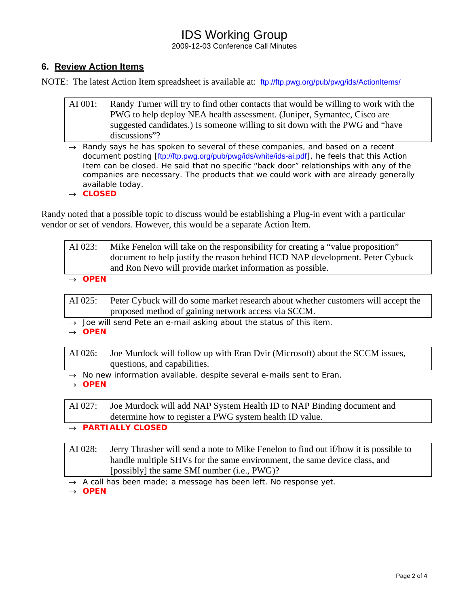# IDS Working Group

2009-12-03 Conference Call Minutes

### **6. Review Action Items**

NOTE: The latest Action Item spreadsheet is available at: <ftp://ftp.pwg.org/pub/pwg/ids/ActionItems/>

- AI 001: Randy Turner will try to find other contacts that would be willing to work with the PWG to help deploy NEA health assessment. (Juniper, Symantec, Cisco are suggested candidates.) Is someone willing to sit down with the PWG and "have discussions"?
- → *Randy says he has spoken to several of these companies, and based on a recent document posting [*<ftp://ftp.pwg.org/pub/pwg/ids/white/ids-ai.pdf>*], he feels that this Action Item can be closed. He said that no specific "back door" relationships with any of the companies are necessary. The products that we could work with are already generally available today.*
- → *CLOSED*

Randy noted that a possible topic to discuss would be establishing a Plug-in event with a particular vendor or set of vendors. However, this would be a separate Action Item.

| AI 023: | Mike Fenelon will take on the responsibility for creating a "value proposition" |
|---------|---------------------------------------------------------------------------------|
|         | document to help justify the reason behind HCD NAP development. Peter Cybuck    |
|         | and Ron Nevo will provide market information as possible.                       |

→ *OPEN* 

AI 025: Peter Cybuck will do some market research about whether customers will accept the proposed method of gaining network access via SCCM.

- → *Joe will send Pete an e-mail asking about the status of this item.*
- → *OPEN*

AI 026: Joe Murdock will follow up with Eran Dvir (Microsoft) about the SCCM issues, questions, and capabilities.

- → *No new information available, despite several e-mails sent to Eran.*
- → *OPEN*

AI 027: Joe Murdock will add NAP System Health ID to NAP Binding document and determine how to register a PWG system health ID value.

- → *PARTIALLY CLOSED*
- AI 028: Jerry Thrasher will send a note to Mike Fenelon to find out if/how it is possible to handle multiple SHVs for the same environment, the same device class, and [possibly] the same SMI number (i.e., PWG)?
- → *A call has been made; a message has been left. No response yet.*

→ *OPEN*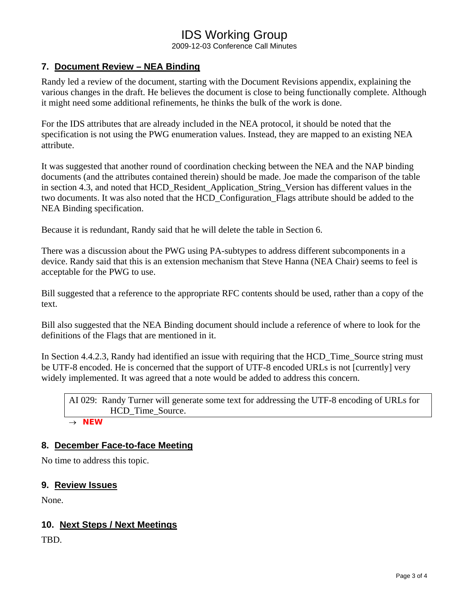# IDS Working Group

2009-12-03 Conference Call Minutes

### **7. Document Review – NEA Binding**

Randy led a review of the document, starting with the Document Revisions appendix, explaining the various changes in the draft. He believes the document is close to being functionally complete. Although it might need some additional refinements, he thinks the bulk of the work is done.

For the IDS attributes that are already included in the NEA protocol, it should be noted that the specification is not using the PWG enumeration values. Instead, they are mapped to an existing NEA attribute.

It was suggested that another round of coordination checking between the NEA and the NAP binding documents (and the attributes contained therein) should be made. Joe made the comparison of the table in section 4.3, and noted that HCD\_Resident\_Application\_String\_Version has different values in the two documents. It was also noted that the HCD\_Configuration\_Flags attribute should be added to the NEA Binding specification.

Because it is redundant, Randy said that he will delete the table in Section 6.

There was a discussion about the PWG using PA-subtypes to address different subcomponents in a device. Randy said that this is an extension mechanism that Steve Hanna (NEA Chair) seems to feel is acceptable for the PWG to use.

Bill suggested that a reference to the appropriate RFC contents should be used, rather than a copy of the text.

Bill also suggested that the NEA Binding document should include a reference of where to look for the definitions of the Flags that are mentioned in it.

In Section 4.4.2.3, Randy had identified an issue with requiring that the HCD. Time, Source string must be UTF-8 encoded. He is concerned that the support of UTF-8 encoded URLs is not [currently] very widely implemented. It was agreed that a note would be added to address this concern.

AI 029: Randy Turner will generate some text for addressing the UTF-8 encoding of URLs for HCD Time Source.

→ *NEW* 

### **8. December Face-to-face Meeting**

No time to address this topic.

#### **9. Review Issues**

None.

### **10. Next Steps / Next Meetings**

TBD.